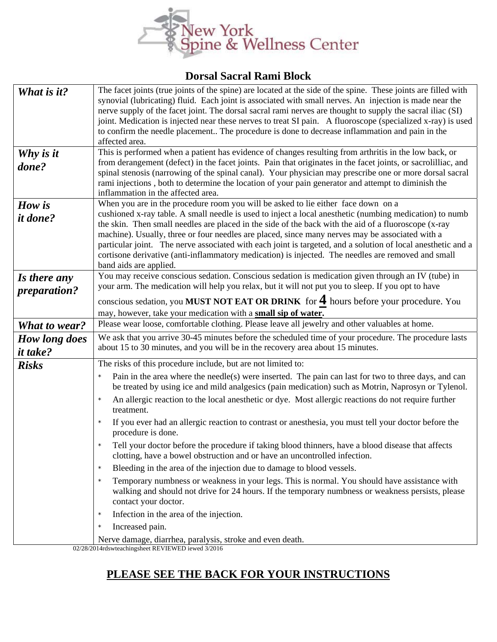

## **Dorsal Sacral Rami Block**

| What is it?          | The facet joints (true joints of the spine) are located at the side of the spine. These joints are filled with                                                                                                                       |  |
|----------------------|--------------------------------------------------------------------------------------------------------------------------------------------------------------------------------------------------------------------------------------|--|
|                      | synovial (lubricating) fluid. Each joint is associated with small nerves. An injection is made near the                                                                                                                              |  |
|                      | nerve supply of the facet joint. The dorsal sacral rami nerves are thought to supply the sacral iliac (SI)                                                                                                                           |  |
|                      | joint. Medication is injected near these nerves to treat SI pain. A fluoroscope (specialized x-ray) is used                                                                                                                          |  |
|                      | to confirm the needle placement The procedure is done to decrease inflammation and pain in the                                                                                                                                       |  |
|                      | affected area.                                                                                                                                                                                                                       |  |
| Why is it            | This is performed when a patient has evidence of changes resulting from arthritis in the low back, or<br>from derangement (defect) in the facet joints. Pain that originates in the facet joints, or sacrolilliac, and               |  |
| done?                | spinal stenosis (narrowing of the spinal canal). Your physician may prescribe one or more dorsal sacral                                                                                                                              |  |
|                      | rami injections, both to determine the location of your pain generator and attempt to diminish the                                                                                                                                   |  |
|                      | inflammation in the affected area.                                                                                                                                                                                                   |  |
| How is               | When you are in the procedure room you will be asked to lie either face down on a                                                                                                                                                    |  |
| <i>it done?</i>      | cushioned x-ray table. A small needle is used to inject a local anesthetic (numbing medication) to numb                                                                                                                              |  |
|                      | the skin. Then small needles are placed in the side of the back with the aid of a fluoroscope (x-ray                                                                                                                                 |  |
|                      | machine). Usually, three or four needles are placed, since many nerves may be associated with a                                                                                                                                      |  |
|                      | particular joint. The nerve associated with each joint is targeted, and a solution of local anesthetic and a                                                                                                                         |  |
|                      | cortisone derivative (anti-inflammatory medication) is injected. The needles are removed and small                                                                                                                                   |  |
|                      | band aids are applied.                                                                                                                                                                                                               |  |
| Is there any         | You may receive conscious sedation. Conscious sedation is medication given through an IV (tube) in                                                                                                                                   |  |
| <i>preparation?</i>  | your arm. The medication will help you relax, but it will not put you to sleep. If you opt to have                                                                                                                                   |  |
|                      | conscious sedation, you MUST NOT EAT OR DRINK for $4$ hours before your procedure. You                                                                                                                                               |  |
|                      | may, however, take your medication with a small sip of water.                                                                                                                                                                        |  |
| <b>What to wear?</b> | Please wear loose, comfortable clothing. Please leave all jewelry and other valuables at home.                                                                                                                                       |  |
| <b>How long does</b> | We ask that you arrive 30-45 minutes before the scheduled time of your procedure. The procedure lasts                                                                                                                                |  |
| <i>it take?</i>      | about 15 to 30 minutes, and you will be in the recovery area about 15 minutes.                                                                                                                                                       |  |
| <b>Risks</b>         | The risks of this procedure include, but are not limited to:                                                                                                                                                                         |  |
|                      | Pain in the area where the needle(s) were inserted. The pain can last for two to three days, and can<br>$\star$                                                                                                                      |  |
|                      | be treated by using ice and mild analgesics (pain medication) such as Motrin, Naprosyn or Tylenol.                                                                                                                                   |  |
|                      | An allergic reaction to the local anesthetic or dye. Most allergic reactions do not require further<br>$\star$                                                                                                                       |  |
|                      | treatment.                                                                                                                                                                                                                           |  |
|                      | If you ever had an allergic reaction to contrast or anesthesia, you must tell your doctor before the<br>$\star$                                                                                                                      |  |
|                      | procedure is done.                                                                                                                                                                                                                   |  |
|                      | Tell your doctor before the procedure if taking blood thinners, have a blood disease that affects<br>clotting, have a bowel obstruction and or have an uncontrolled infection.                                                       |  |
|                      | Bleeding in the area of the injection due to damage to blood vessels.<br>$\star$                                                                                                                                                     |  |
|                      | Temporary numbness or weakness in your legs. This is normal. You should have assistance with<br>$\star$<br>walking and should not drive for 24 hours. If the temporary numbness or weakness persists, please<br>contact your doctor. |  |
|                      | Infection in the area of the injection.<br>$\star$                                                                                                                                                                                   |  |
|                      | Increased pain.<br>$\star$                                                                                                                                                                                                           |  |
|                      | Nerve damage, diarrhea, paralysis, stroke and even death.                                                                                                                                                                            |  |

02/28/2014rdswteachingsheet REVIEWED iewed 3/2016

## **PLEASE SEE THE BACK FOR YOUR INSTRUCTIONS**